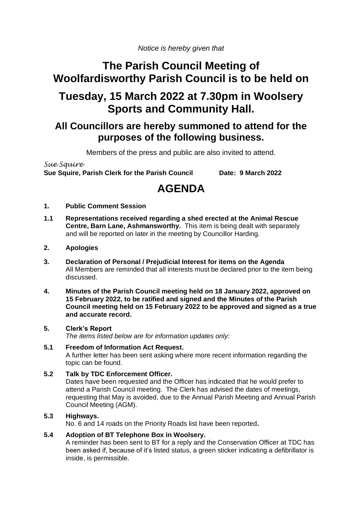*Notice is hereby given that*

## **The Parish Council Meeting of Woolfardisworthy Parish Council is to be held on**

## **Tuesday, 15 March 2022 at 7.30pm in Woolsery Sports and Community Hall.**

## **All Councillors are hereby summoned to attend for the purposes of the following business.**

Members of the press and public are also invited to attend.

*Sue Squire* **Sue Squire, Parish Clerk for the Parish Council Date: 9 March 2022**

# **AGENDA**

- **1. Public Comment Session**
- **1.1 Representations received regarding a shed erected at the Animal Rescue Centre, Barn Lane, Ashmansworthy.** This item is being dealt with separately and will be reported on later in the meeting by Councillor Harding.

## **2. Apologies**

- **3. Declaration of Personal / Prejudicial Interest for items on the Agenda** All Members are reminded that all interests must be declared prior to the item being discussed.
- **4. Minutes of the Parish Council meeting held on 18 January 2022, approved on 15 February 2022, to be ratified and signed and the Minutes of the Parish Council meeting held on 15 February 2022 to be approved and signed as a true and accurate record.**

## **5. Clerk's Report**

*The items listed below are for information updates only:*

#### **5.1 Freedom of Information Act Request.** A further letter has been sent asking where more recent information regarding the topic can be found.

## **5.2 Talk by TDC Enforcement Officer.**

Dates have been requested and the Officer has indicated that he would prefer to attend a Parish Council meeting. The Clerk has advised the dates of meetings, requesting that May is avoided, due to the Annual Parish Meeting and Annual Parish Council Meeting (AGM).

## **5.3 Highways.**

No. 6 and 14 roads on the Priority Roads list have been reported**.**

## **5.4 Adoption of BT Telephone Box in Woolsery.**

A reminder has been sent to BT for a reply and the Conservation Officer at TDC has been asked if, because of it's listed status, a green sticker indicating a defibrillator is inside, is permissible.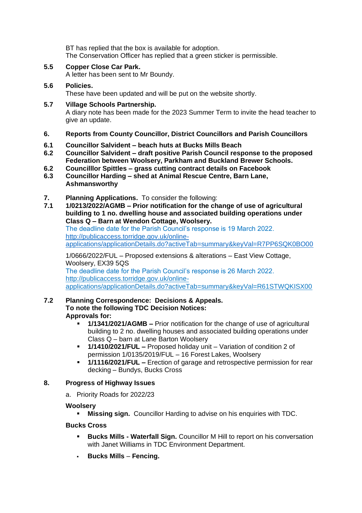BT has replied that the box is available for adoption. The Conservation Officer has replied that a green sticker is permissible.

**5.5 Copper Close Car Park.**

A letter has been sent to Mr Boundy.

## **5.6 Policies.**

These have been updated and will be put on the website shortly.

- **5.7 Village Schools Partnership.** A diary note has been made for the 2023 Summer Term to invite the head teacher to give an update.
- **6. Reports from County Councillor, District Councillors and Parish Councillors**
- **6.1 Councillor Salvident – beach huts at Bucks Mills Beach**
- **6.2 Councillor Salvident – draft positive Parish Council response to the proposed Federation between Woolsery, Parkham and Buckland Brewer Schools.**
- **6.2 Councilllor Spittles – grass cutting contract details on Facebook**
- **6.3 Councillor Harding – shed at Animal Rescue Centre, Barn Lane, Ashmansworthy**
- **7. Planning Applications.** To consider the following:
- **7.1 1/0213/2022/AGMB – Prior notification for the change of use of agricultural building to 1 no. dwelling house and associated building operations under Class Q – Barn at Wendon Cottage, Woolsery.**

The deadline date for the Parish Council's response is 19 March 2022. [http://publicaccess.torridge.gov.uk/online](http://publicaccess.torridge.gov.uk/online-applications/applicationDetails.do?activeTab=summary&keyVal=R7PP6SQK0BO00)[applications/applicationDetails.do?activeTab=summary&keyVal=R7PP6SQK0BO00](http://publicaccess.torridge.gov.uk/online-applications/applicationDetails.do?activeTab=summary&keyVal=R7PP6SQK0BO00)

1/0666/2022/FUL – Proposed extensions & alterations – East View Cottage, Woolsery, EX39 5QS The deadline date for the Parish Council's response is 26 March 2022. [http://publicaccess.torridge.gov.uk/online-](http://publicaccess.torridge.gov.uk/online-applications/applicationDetails.do?activeTab=summary&keyVal=R61STWQKISX00)

[applications/applicationDetails.do?activeTab=summary&keyVal=R61STWQKISX00](http://publicaccess.torridge.gov.uk/online-applications/applicationDetails.do?activeTab=summary&keyVal=R61STWQKISX00)

## **7.2 Planning Correspondence: Decisions & Appeals. To note the following TDC Decision Notices: Approvals for:**

- **1/1341/2021/AGMB –** Prior notification for the change of use of agricultural building to 2 no. dwelling houses and associated building operations under Class Q – barn at Lane Barton Woolsery
- **1/1410/2021/FUL –** Proposed holiday unit Variation of condition 2 of permission 1/0135/2019/FUL – 16 Forest Lakes, Woolsery
- **1/1116/2021/FUL –** Erection of garage and retrospective permission for rear decking – Bundys, Bucks Cross

## **8. Progress of Highway Issues**

a. Priority Roads for 2022/23

## **Woolsery**

▪ **Missing sign.** Councillor Harding to advise on his enquiries with TDC.

## **Bucks Cross**

- **E Bucks Mills Waterfall Sign.** Councillor M Hill to report on his conversation with Janet Williams in TDC Environment Department.
- Bucks Mills Fencing.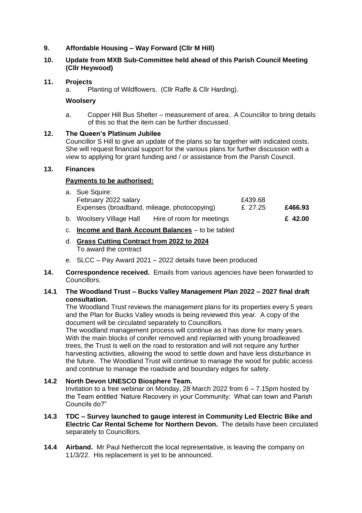## **9. Affordable Housing – Way Forward (Cllr M Hill)**

## **10. Update from MXB Sub-Committee held ahead of this Parish Council Meeting (Cllr Heywood)**

#### **11. Projects**

Planting of Wildflowers. (Cllr Raffe & Cllr Harding). a.

#### **Woolsery**

a. Copper Hill Bus Shelter – measurement of area. A Councillor to bring details of this so that the item can be further discussed.

#### **12. The Queen's Platinum Jubilee**

Councillor S Hill to give an update of the plans so far together with indicated costs. She will request financial support for the various plans for further discussion with a view to applying for grant funding and / or assistance from the Parish Council.

#### **13. Finances**

#### **Payments to be authorised:**

| Expenses (broadband, mileage, photocopying) | £ 27.25 | £466.93 |
|---------------------------------------------|---------|---------|
| February 2022 salary                        | £439.68 |         |
| a. Sue Squire:                              |         |         |

- b. Woolsery Village Hall Hire of room for meetings **£ 42.00**
- c. **Income and Bank Account Balances** to be tabled
- d. **Grass Cutting Contract from 2022 to 2024** To award the contract
- e. SLCC Pay Award 2021 2022 details have been produced
- **14. Correspondence received.** Emails from various agencies have been forwarded to Councillors.

## **14.1 The Woodland Trust – Bucks Valley Management Plan 2022 – 2027 final draft consultation.**

The Woodland Trust reviews the management plans for its properties every 5 years and the Plan for Bucks Valley woods is being reviewed this year. A copy of the document will be circulated separately to Councillors.

The woodland management process will continue as it has done for many years. With the main blocks of conifer removed and replanted with young broadleaved trees, the Trust is well on the road to restoration and will not require any further harvesting activities, allowing the wood to settle down and have less disturbance in the future. The Woodland Trust will continue to manage the wood for public access and continue to manage the roadside and boundary edges for safety.

## **14.2 North Devon UNESCO Biosphere Team.**

Invitation to a free webinar on Monday, 28 March 2022 from 6 – 7.15pm hosted by the Team entitled 'Nature Recovery in your Community: What can town and Parish Councils do?"

- **14.3 TDC – Survey launched to gauge interest in Community Led Electric Bike and Electric Car Rental Scheme for Northern Devon.** The details have been circulated separately to Councillors.
- **14.4 Airband.** Mr Paul Nethercott the local representative, is leaving the company on 11/3/22. His replacement is yet to be announced.